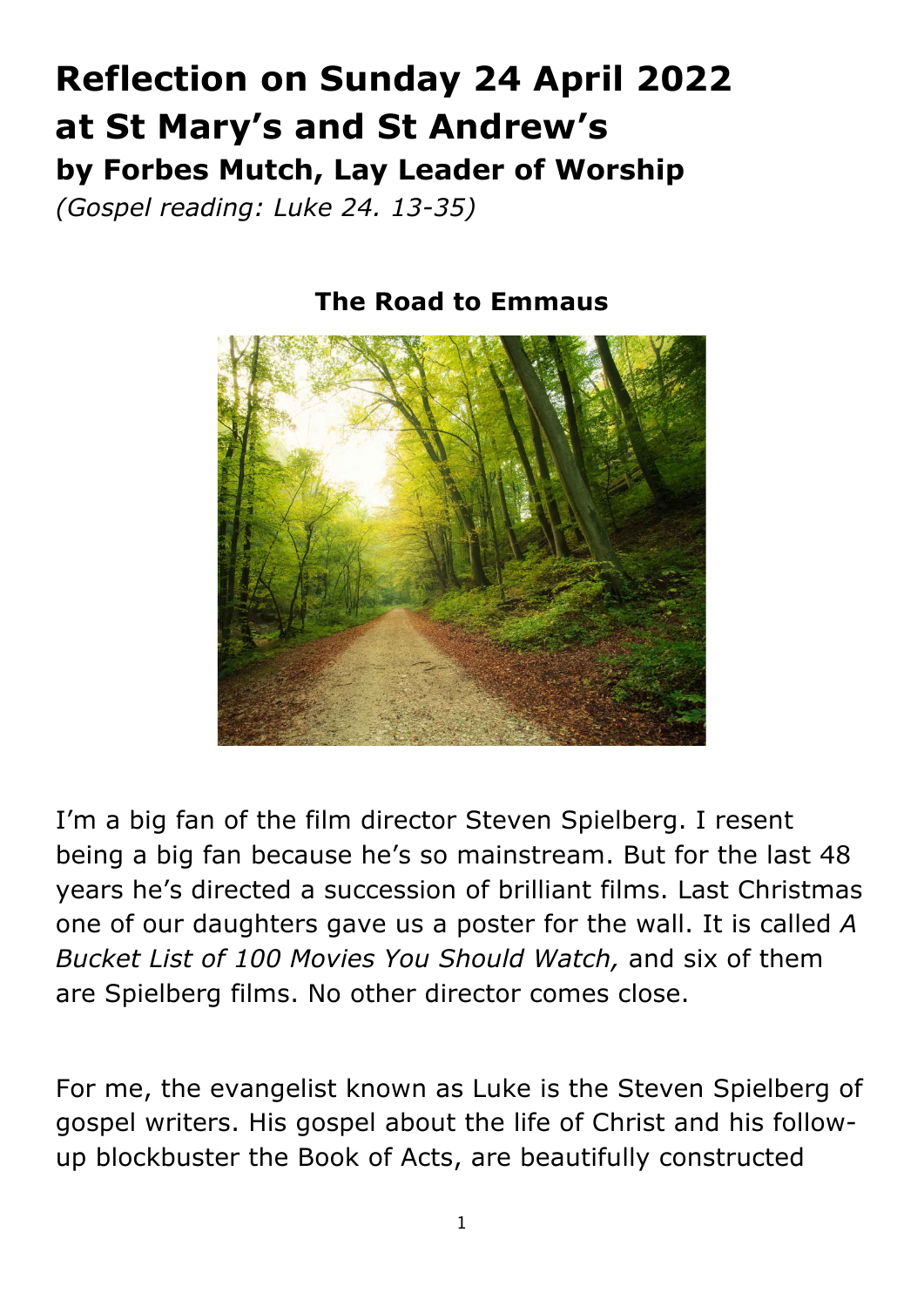## **Reflection on Sunday 24 April 2022 at St Mary's and St Andrew's by Forbes Mutch, Lay Leader of Worship**

*(Gospel reading: Luke 24. 13-35)*



## **The Road to Emmaus**

I'm a big fan of the film director Steven Spielberg. I resent being a big fan because he's so mainstream. But for the last 48 years he's directed a succession of brilliant films. Last Christmas one of our daughters gave us a poster for the wall. It is called *A Bucket List of 100 Movies You Should Watch,* and six of them are Spielberg films. No other director comes close.

For me, the evangelist known as Luke is the Steven Spielberg of gospel writers. His gospel about the life of Christ and his followup blockbuster the Book of Acts, are beautifully constructed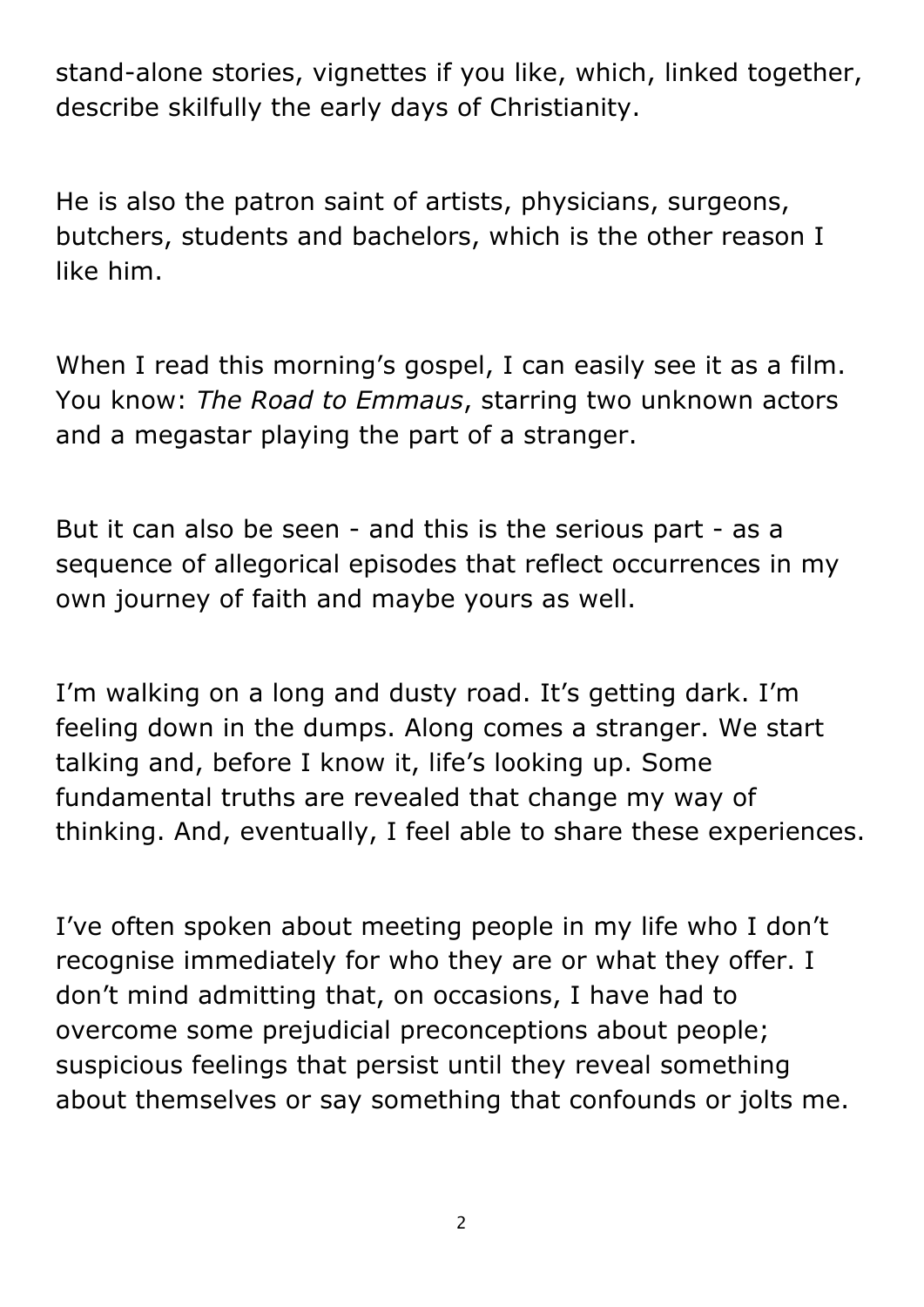stand-alone stories, vignettes if you like, which, linked together, describe skilfully the early days of Christianity.

He is also the patron saint of artists, physicians, surgeons, butchers, students and bachelors, which is the other reason I like him.

When I read this morning's gospel, I can easily see it as a film. You know: *The Road to Emmaus*, starring two unknown actors and a megastar playing the part of a stranger.

But it can also be seen - and this is the serious part - as a sequence of allegorical episodes that reflect occurrences in my own journey of faith and maybe yours as well.

I'm walking on a long and dusty road. It's getting dark. I'm feeling down in the dumps. Along comes a stranger. We start talking and, before I know it, life's looking up. Some fundamental truths are revealed that change my way of thinking. And, eventually, I feel able to share these experiences.

I've often spoken about meeting people in my life who I don't recognise immediately for who they are or what they offer. I don't mind admitting that, on occasions, I have had to overcome some prejudicial preconceptions about people; suspicious feelings that persist until they reveal something about themselves or say something that confounds or jolts me.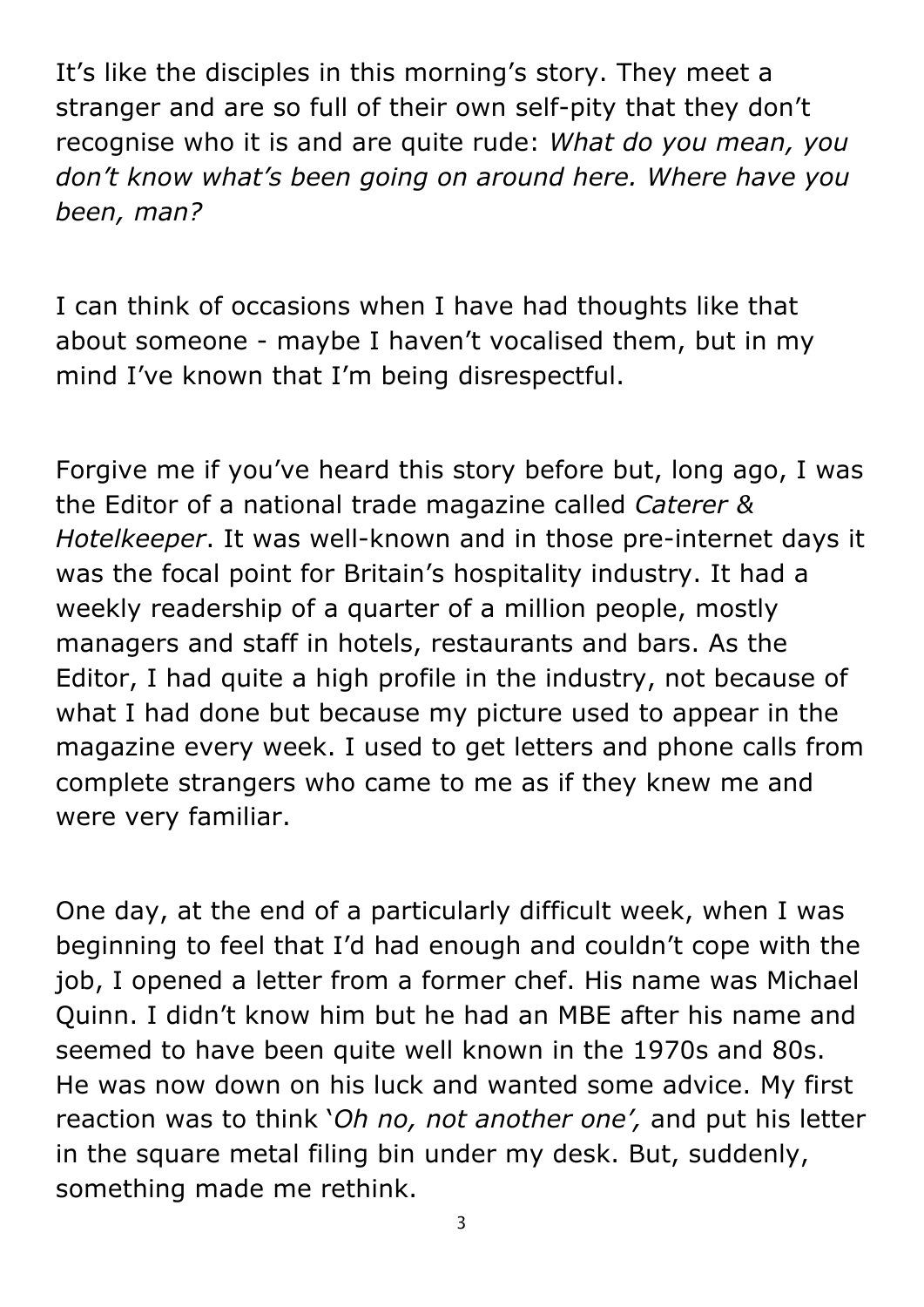It's like the disciples in this morning's story. They meet a stranger and are so full of their own self-pity that they don't recognise who it is and are quite rude: *What do you mean, you don't know what's been going on around here. Where have you been, man?*

I can think of occasions when I have had thoughts like that about someone - maybe I haven't vocalised them, but in my mind I've known that I'm being disrespectful.

Forgive me if you've heard this story before but, long ago, I was the Editor of a national trade magazine called *Caterer & Hotelkeeper*. It was well-known and in those pre-internet days it was the focal point for Britain's hospitality industry. It had a weekly readership of a quarter of a million people, mostly managers and staff in hotels, restaurants and bars. As the Editor, I had quite a high profile in the industry, not because of what I had done but because my picture used to appear in the magazine every week. I used to get letters and phone calls from complete strangers who came to me as if they knew me and were very familiar.

One day, at the end of a particularly difficult week, when I was beginning to feel that I'd had enough and couldn't cope with the job, I opened a letter from a former chef. His name was Michael Quinn. I didn't know him but he had an MBE after his name and seemed to have been quite well known in the 1970s and 80s. He was now down on his luck and wanted some advice. My first reaction was to think '*Oh no, not another one',* and put his letter in the square metal filing bin under my desk. But, suddenly, something made me rethink.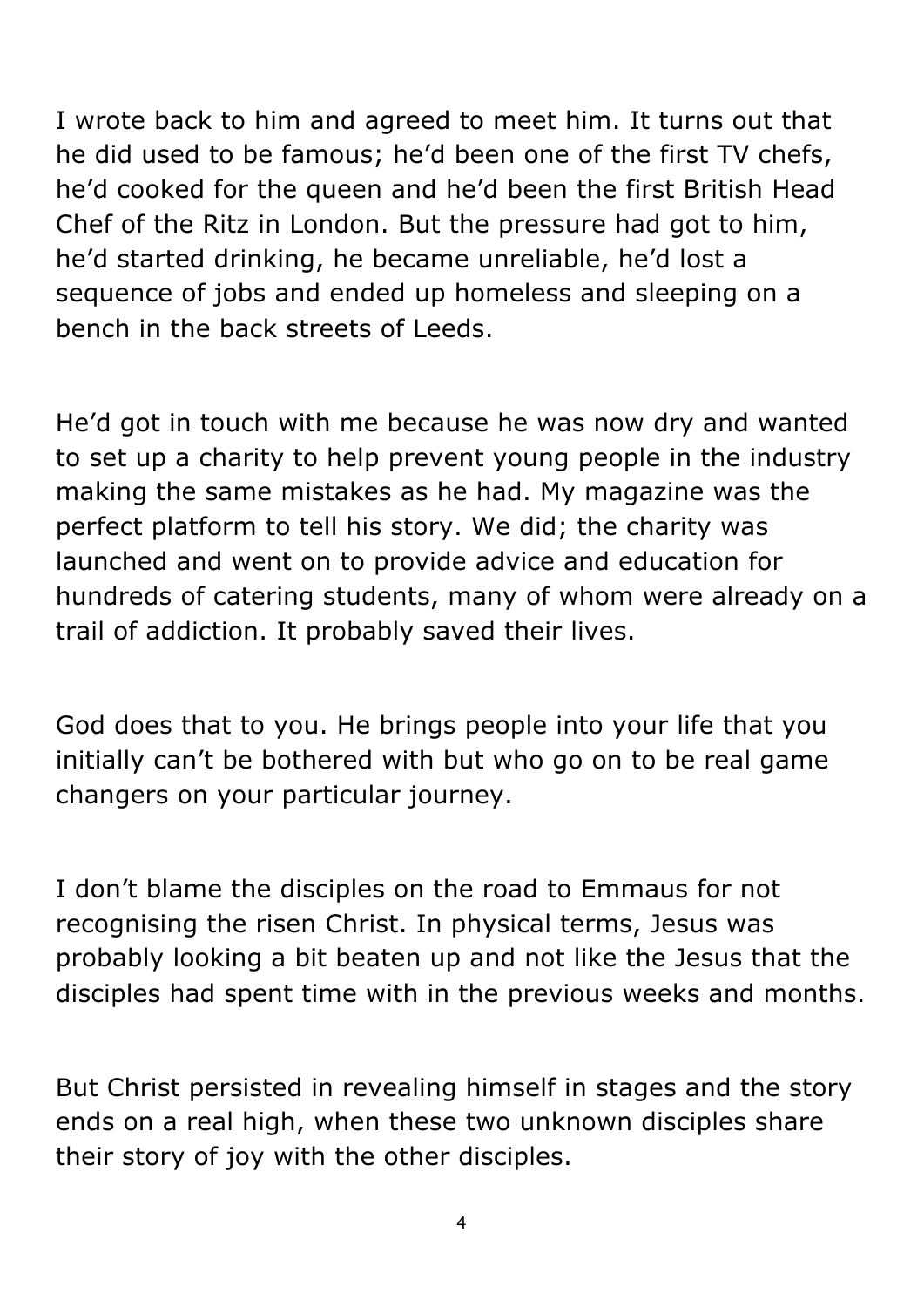I wrote back to him and agreed to meet him. It turns out that he did used to be famous; he'd been one of the first TV chefs, he'd cooked for the queen and he'd been the first British Head Chef of the Ritz in London. But the pressure had got to him, he'd started drinking, he became unreliable, he'd lost a sequence of jobs and ended up homeless and sleeping on a bench in the back streets of Leeds.

He'd got in touch with me because he was now dry and wanted to set up a charity to help prevent young people in the industry making the same mistakes as he had. My magazine was the perfect platform to tell his story. We did; the charity was launched and went on to provide advice and education for hundreds of catering students, many of whom were already on a trail of addiction. It probably saved their lives.

God does that to you. He brings people into your life that you initially can't be bothered with but who go on to be real game changers on your particular journey.

I don't blame the disciples on the road to Emmaus for not recognising the risen Christ. In physical terms, Jesus was probably looking a bit beaten up and not like the Jesus that the disciples had spent time with in the previous weeks and months.

But Christ persisted in revealing himself in stages and the story ends on a real high, when these two unknown disciples share their story of joy with the other disciples.

4